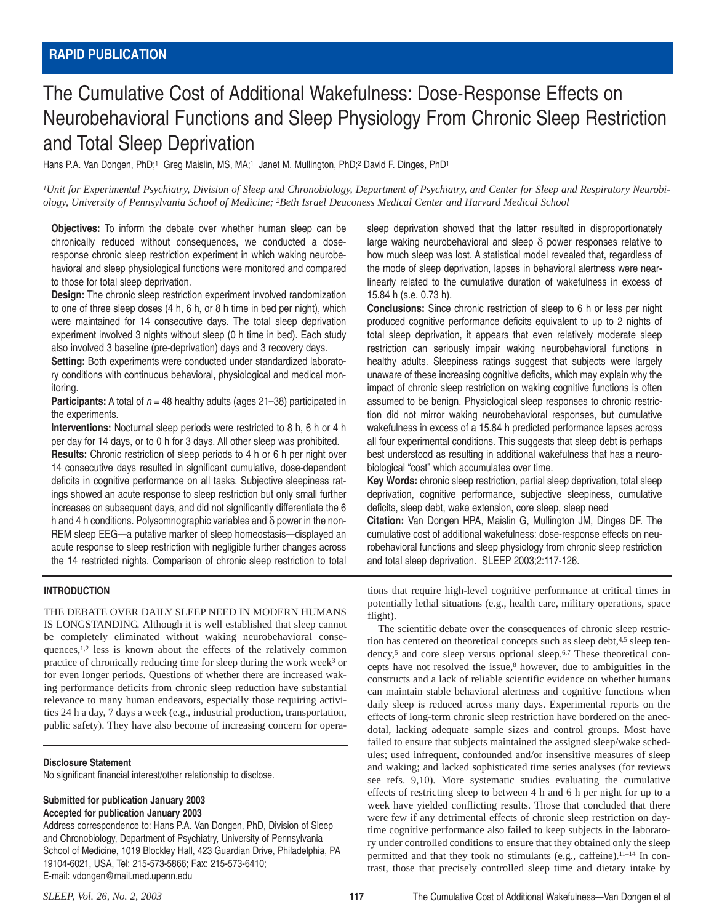# The Cumulative Cost of Additional Wakefulness: Dose-Response Effects on Neurobehavioral Functions and Sleep Physiology From Chronic Sleep Restriction and Total Sleep Deprivation

Hans P.A. Van Dongen, PhD;<sup>1</sup> Greg Maislin, MS, MA;<sup>1</sup> Janet M. Mullington, PhD;<sup>2</sup> David F. Dinges, PhD<sup>1</sup>

*1Unit for Experimental Psychiatry, Division of Sleep and Chronobiology, Department of Psychiatry, and Center for Sleep and Respiratory Neurobiology, University of Pennsylvania School of Medicine; 2Beth Israel Deaconess Medical Center and Harvard Medical School*

**Objectives:** To inform the debate over whether human sleep can be chronically reduced without consequences, we conducted a doseresponse chronic sleep restriction experiment in which waking neurobehavioral and sleep physiological functions were monitored and compared to those for total sleep deprivation.

**Design:** The chronic sleep restriction experiment involved randomization to one of three sleep doses (4 h, 6 h, or 8 h time in bed per night), which were maintained for 14 consecutive days. The total sleep deprivation experiment involved 3 nights without sleep (0 h time in bed). Each study also involved 3 baseline (pre-deprivation) days and 3 recovery days.

**Setting:** Both experiments were conducted under standardized laboratory conditions with continuous behavioral, physiological and medical monitoring.

**Participants:** A total of  $n = 48$  healthy adults (ages 21–38) participated in the experiments.

**Interventions:** Nocturnal sleep periods were restricted to 8 h, 6 h or 4 h per day for 14 days, or to 0 h for 3 days. All other sleep was prohibited.

**Results:** Chronic restriction of sleep periods to 4 h or 6 h per night over 14 consecutive days resulted in significant cumulative, dose-dependent deficits in cognitive performance on all tasks. Subjective sleepiness ratings showed an acute response to sleep restriction but only small further increases on subsequent days, and did not significantly differentiate the 6 h and 4 h conditions. Polysomnographic variables and  $\delta$  power in the non-REM sleep EEG—a putative marker of sleep homeostasis—displayed an acute response to sleep restriction with negligible further changes across the 14 restricted nights. Comparison of chronic sleep restriction to total

## **INTRODUCTION**

THE DEBATE OVER DAILY SLEEP NEED IN MODERN HUMANS IS LONGSTANDING. Although it is well established that sleep cannot be completely eliminated without waking neurobehavioral consequences,1,2 less is known about the effects of the relatively common practice of chronically reducing time for sleep during the work week<sup>3</sup> or for even longer periods. Questions of whether there are increased waking performance deficits from chronic sleep reduction have substantial relevance to many human endeavors, especially those requiring activities 24 h a day, 7 days a week (e.g., industrial production, transportation, public safety). They have also become of increasing concern for opera-

## **Disclosure Statement**

No significant financial interest/other relationship to disclose.

## **Submitted for publication January 2003 Accepted for publication January 2003**

Address correspondence to: Hans P.A. Van Dongen, PhD, Division of Sleep and Chronobiology, Department of Psychiatry, University of Pennsylvania School of Medicine, 1019 Blockley Hall, 423 Guardian Drive, Philadelphia, PA 19104-6021, USA, Tel: 215-573-5866; Fax: 215-573-6410; E-mail: vdongen@mail.med.upenn.edu

sleep deprivation showed that the latter resulted in disproportionately large waking neurobehavioral and sleep  $\delta$  power responses relative to how much sleep was lost. A statistical model revealed that, regardless of the mode of sleep deprivation, lapses in behavioral alertness were nearlinearly related to the cumulative duration of wakefulness in excess of 15.84 h (s.e. 0.73 h).

**Conclusions:** Since chronic restriction of sleep to 6 h or less per night produced cognitive performance deficits equivalent to up to 2 nights of total sleep deprivation, it appears that even relatively moderate sleep restriction can seriously impair waking neurobehavioral functions in healthy adults. Sleepiness ratings suggest that subjects were largely unaware of these increasing cognitive deficits, which may explain why the impact of chronic sleep restriction on waking cognitive functions is often assumed to be benign. Physiological sleep responses to chronic restriction did not mirror waking neurobehavioral responses, but cumulative wakefulness in excess of a 15.84 h predicted performance lapses across all four experimental conditions. This suggests that sleep debt is perhaps best understood as resulting in additional wakefulness that has a neurobiological "cost" which accumulates over time.

**Key Words:** chronic sleep restriction, partial sleep deprivation, total sleep deprivation, cognitive performance, subjective sleepiness, cumulative deficits, sleep debt, wake extension, core sleep, sleep need

**Citation:** Van Dongen HPA, Maislin G, Mullington JM, Dinges DF. The cumulative cost of additional wakefulness: dose-response effects on neurobehavioral functions and sleep physiology from chronic sleep restriction and total sleep deprivation. SLEEP 2003;2:117-126.

tions that require high-level cognitive performance at critical times in potentially lethal situations (e.g., health care, military operations, space flight).

The scientific debate over the consequences of chronic sleep restriction has centered on theoretical concepts such as sleep debt,<sup>4,5</sup> sleep tendency,<sup>5</sup> and core sleep versus optional sleep.<sup>6,7</sup> These theoretical concepts have not resolved the issue,<sup>8</sup> however, due to ambiguities in the constructs and a lack of reliable scientific evidence on whether humans can maintain stable behavioral alertness and cognitive functions when daily sleep is reduced across many days. Experimental reports on the effects of long-term chronic sleep restriction have bordered on the anecdotal, lacking adequate sample sizes and control groups. Most have failed to ensure that subjects maintained the assigned sleep/wake schedules; used infrequent, confounded and/or insensitive measures of sleep and waking; and lacked sophisticated time series analyses (for reviews see refs. 9,10). More systematic studies evaluating the cumulative effects of restricting sleep to between 4 h and 6 h per night for up to a week have yielded conflicting results. Those that concluded that there were few if any detrimental effects of chronic sleep restriction on daytime cognitive performance also failed to keep subjects in the laboratory under controlled conditions to ensure that they obtained only the sleep permitted and that they took no stimulants (e.g., caffeine).11–14 In contrast, those that precisely controlled sleep time and dietary intake by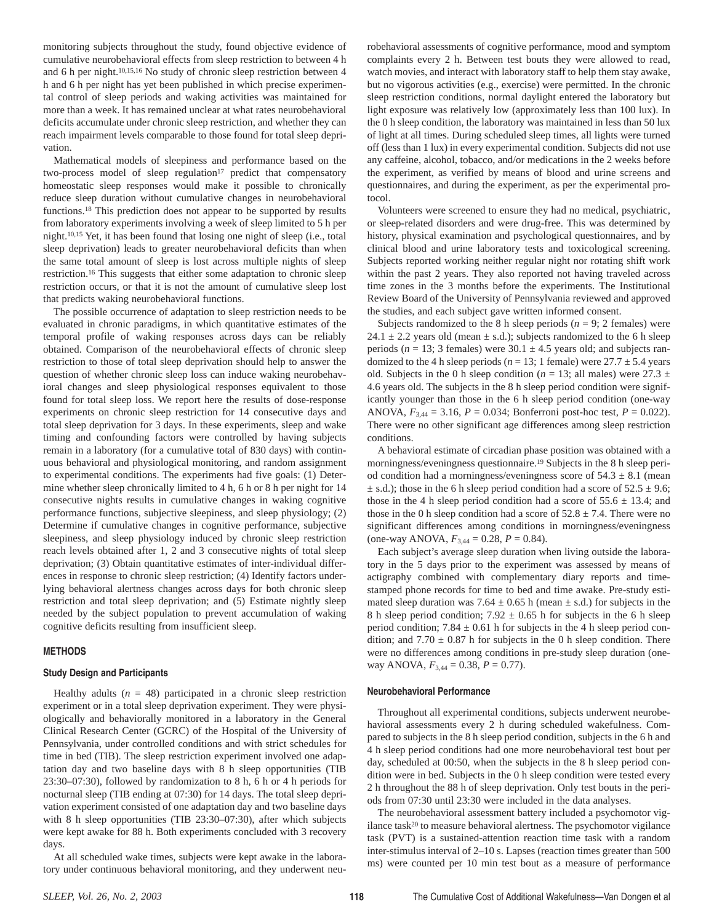monitoring subjects throughout the study, found objective evidence of cumulative neurobehavioral effects from sleep restriction to between 4 h and 6 h per night.10,15,16 No study of chronic sleep restriction between 4 h and 6 h per night has yet been published in which precise experimental control of sleep periods and waking activities was maintained for more than a week. It has remained unclear at what rates neurobehavioral deficits accumulate under chronic sleep restriction, and whether they can reach impairment levels comparable to those found for total sleep deprivation.

Mathematical models of sleepiness and performance based on the two-process model of sleep regulation<sup>17</sup> predict that compensatory homeostatic sleep responses would make it possible to chronically reduce sleep duration without cumulative changes in neurobehavioral functions.18 This prediction does not appear to be supported by results from laboratory experiments involving a week of sleep limited to 5 h per night.10,15 Yet, it has been found that losing one night of sleep (i.e., total sleep deprivation) leads to greater neurobehavioral deficits than when the same total amount of sleep is lost across multiple nights of sleep restriction.16 This suggests that either some adaptation to chronic sleep restriction occurs, or that it is not the amount of cumulative sleep lost that predicts waking neurobehavioral functions.

The possible occurrence of adaptation to sleep restriction needs to be evaluated in chronic paradigms, in which quantitative estimates of the temporal profile of waking responses across days can be reliably obtained. Comparison of the neurobehavioral effects of chronic sleep restriction to those of total sleep deprivation should help to answer the question of whether chronic sleep loss can induce waking neurobehavioral changes and sleep physiological responses equivalent to those found for total sleep loss. We report here the results of dose-response experiments on chronic sleep restriction for 14 consecutive days and total sleep deprivation for 3 days. In these experiments, sleep and wake timing and confounding factors were controlled by having subjects remain in a laboratory (for a cumulative total of 830 days) with continuous behavioral and physiological monitoring, and random assignment to experimental conditions. The experiments had five goals: (1) Determine whether sleep chronically limited to 4 h, 6 h or 8 h per night for 14 consecutive nights results in cumulative changes in waking cognitive performance functions, subjective sleepiness, and sleep physiology; (2) Determine if cumulative changes in cognitive performance, subjective sleepiness, and sleep physiology induced by chronic sleep restriction reach levels obtained after 1, 2 and 3 consecutive nights of total sleep deprivation; (3) Obtain quantitative estimates of inter-individual differences in response to chronic sleep restriction; (4) Identify factors underlying behavioral alertness changes across days for both chronic sleep restriction and total sleep deprivation; and (5) Estimate nightly sleep needed by the subject population to prevent accumulation of waking cognitive deficits resulting from insufficient sleep.

## **METHODS**

## **Study Design and Participants**

Healthy adults  $(n = 48)$  participated in a chronic sleep restriction experiment or in a total sleep deprivation experiment. They were physiologically and behaviorally monitored in a laboratory in the General Clinical Research Center (GCRC) of the Hospital of the University of Pennsylvania, under controlled conditions and with strict schedules for time in bed (TIB). The sleep restriction experiment involved one adaptation day and two baseline days with 8 h sleep opportunities (TIB 23:30–07:30), followed by randomization to 8 h, 6 h or 4 h periods for nocturnal sleep (TIB ending at 07:30) for 14 days. The total sleep deprivation experiment consisted of one adaptation day and two baseline days with 8 h sleep opportunities (TIB 23:30–07:30), after which subjects were kept awake for 88 h. Both experiments concluded with 3 recovery days.

At all scheduled wake times, subjects were kept awake in the laboratory under continuous behavioral monitoring, and they underwent neurobehavioral assessments of cognitive performance, mood and symptom complaints every 2 h. Between test bouts they were allowed to read, watch movies, and interact with laboratory staff to help them stay awake, but no vigorous activities (e.g., exercise) were permitted. In the chronic sleep restriction conditions, normal daylight entered the laboratory but light exposure was relatively low (approximately less than 100 lux). In the 0 h sleep condition, the laboratory was maintained in less than 50 lux of light at all times. During scheduled sleep times, all lights were turned off (less than 1 lux) in every experimental condition. Subjects did not use any caffeine, alcohol, tobacco, and/or medications in the 2 weeks before the experiment, as verified by means of blood and urine screens and questionnaires, and during the experiment, as per the experimental protocol.

Volunteers were screened to ensure they had no medical, psychiatric, or sleep-related disorders and were drug-free. This was determined by history, physical examination and psychological questionnaires, and by clinical blood and urine laboratory tests and toxicological screening. Subjects reported working neither regular night nor rotating shift work within the past 2 years. They also reported not having traveled across time zones in the 3 months before the experiments. The Institutional Review Board of the University of Pennsylvania reviewed and approved the studies, and each subject gave written informed consent.

Subjects randomized to the 8 h sleep periods  $(n = 9; 2 \text{ females})$  were 24.1  $\pm$  2.2 years old (mean  $\pm$  s.d.); subjects randomized to the 6 h sleep periods ( $n = 13$ ; 3 females) were  $30.1 \pm 4.5$  years old; and subjects randomized to the 4 h sleep periods ( $n = 13$ ; 1 female) were  $27.7 \pm 5.4$  years old. Subjects in the 0 h sleep condition ( $n = 13$ ; all males) were 27.3  $\pm$ 4.6 years old. The subjects in the 8 h sleep period condition were significantly younger than those in the 6 h sleep period condition (one-way ANOVA,  $F_{3,44} = 3.16$ ,  $P = 0.034$ ; Bonferroni post-hoc test,  $P = 0.022$ ). There were no other significant age differences among sleep restriction conditions.

A behavioral estimate of circadian phase position was obtained with a morningness/eveningness questionnaire.19 Subjects in the 8 h sleep period condition had a morningness/eveningness score of  $54.3 \pm 8.1$  (mean  $\pm$  s.d.); those in the 6 h sleep period condition had a score of 52.5  $\pm$  9.6; those in the 4 h sleep period condition had a score of  $55.6 \pm 13.4$ ; and those in the 0 h sleep condition had a score of  $52.8 \pm 7.4$ . There were no significant differences among conditions in morningness/eveningness (one-way ANOVA,  $F_{3,44} = 0.28$ ,  $P = 0.84$ ).

Each subject's average sleep duration when living outside the laboratory in the 5 days prior to the experiment was assessed by means of actigraphy combined with complementary diary reports and timestamped phone records for time to bed and time awake. Pre-study estimated sleep duration was  $7.64 \pm 0.65$  h (mean  $\pm$  s.d.) for subjects in the 8 h sleep period condition;  $7.92 \pm 0.65$  h for subjects in the 6 h sleep period condition;  $7.84 \pm 0.61$  h for subjects in the 4 h sleep period condition; and  $7.70 \pm 0.87$  h for subjects in the 0 h sleep condition. There were no differences among conditions in pre-study sleep duration (oneway ANOVA, *F*3,44 = 0.38, *P* = 0.77).

#### **Neurobehavioral Performance**

Throughout all experimental conditions, subjects underwent neurobehavioral assessments every 2 h during scheduled wakefulness. Compared to subjects in the 8 h sleep period condition, subjects in the 6 h and 4 h sleep period conditions had one more neurobehavioral test bout per day, scheduled at 00:50, when the subjects in the 8 h sleep period condition were in bed. Subjects in the 0 h sleep condition were tested every 2 h throughout the 88 h of sleep deprivation. Only test bouts in the periods from 07:30 until 23:30 were included in the data analyses.

The neurobehavioral assessment battery included a psychomotor vigilance task20 to measure behavioral alertness. The psychomotor vigilance task (PVT) is a sustained-attention reaction time task with a random inter-stimulus interval of 2–10 s. Lapses (reaction times greater than 500 ms) were counted per 10 min test bout as a measure of performance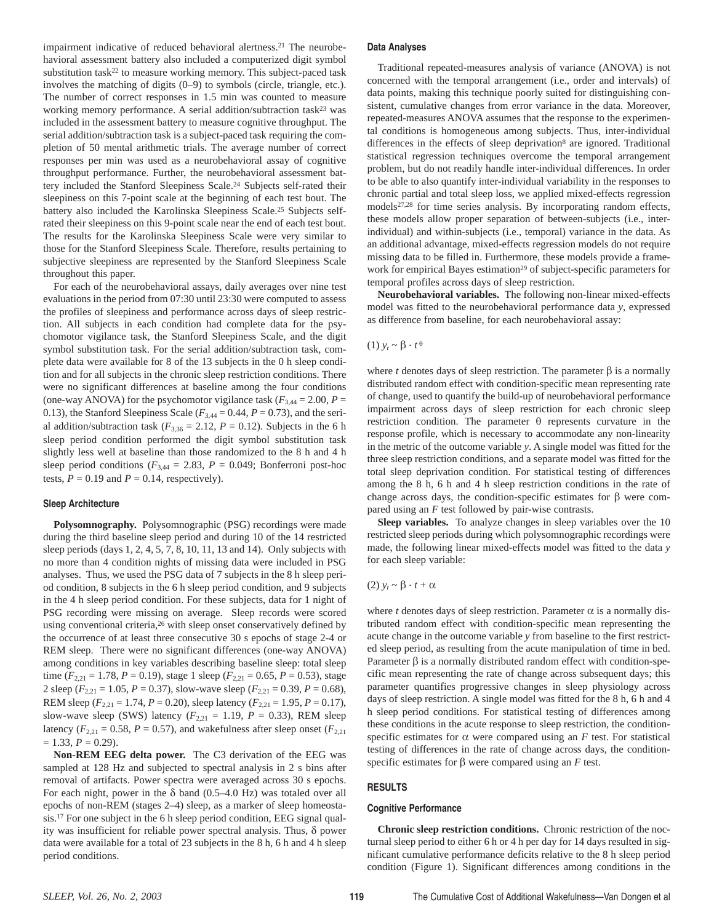impairment indicative of reduced behavioral alertness.<sup>21</sup> The neurobehavioral assessment battery also included a computerized digit symbol substitution task<sup>22</sup> to measure working memory. This subject-paced task involves the matching of digits (0–9) to symbols (circle, triangle, etc.). The number of correct responses in 1.5 min was counted to measure working memory performance. A serial addition/subtraction task23 was included in the assessment battery to measure cognitive throughput. The serial addition/subtraction task is a subject-paced task requiring the completion of 50 mental arithmetic trials. The average number of correct responses per min was used as a neurobehavioral assay of cognitive throughput performance. Further, the neurobehavioral assessment battery included the Stanford Sleepiness Scale.24 Subjects self-rated their sleepiness on this 7-point scale at the beginning of each test bout. The battery also included the Karolinska Sleepiness Scale.25 Subjects selfrated their sleepiness on this 9-point scale near the end of each test bout. The results for the Karolinska Sleepiness Scale were very similar to those for the Stanford Sleepiness Scale. Therefore, results pertaining to subjective sleepiness are represented by the Stanford Sleepiness Scale throughout this paper.

For each of the neurobehavioral assays, daily averages over nine test evaluations in the period from 07:30 until 23:30 were computed to assess the profiles of sleepiness and performance across days of sleep restriction. All subjects in each condition had complete data for the psychomotor vigilance task, the Stanford Sleepiness Scale, and the digit symbol substitution task. For the serial addition/subtraction task, complete data were available for 8 of the 13 subjects in the 0 h sleep condition and for all subjects in the chronic sleep restriction conditions. There were no significant differences at baseline among the four conditions (one-way ANOVA) for the psychomotor vigilance task ( $F_{3,44} = 2.00$ ,  $P =$ 0.13), the Stanford Sleepiness Scale ( $F_{3,44} = 0.44$ ,  $P = 0.73$ ), and the serial addition/subtraction task  $(F_{3,36} = 2.12, P = 0.12)$ . Subjects in the 6 h sleep period condition performed the digit symbol substitution task slightly less well at baseline than those randomized to the 8 h and 4 h sleep period conditions ( $F_{3,44} = 2.83$ ,  $P = 0.049$ ; Bonferroni post-hoc tests,  $P = 0.19$  and  $P = 0.14$ , respectively).

#### **Sleep Architecture**

**Polysomnography.** Polysomnographic (PSG) recordings were made during the third baseline sleep period and during 10 of the 14 restricted sleep periods (days 1, 2, 4, 5, 7, 8, 10, 11, 13 and 14). Only subjects with no more than 4 condition nights of missing data were included in PSG analyses. Thus, we used the PSG data of 7 subjects in the 8 h sleep period condition, 8 subjects in the 6 h sleep period condition, and 9 subjects in the 4 h sleep period condition. For these subjects, data for 1 night of PSG recording were missing on average. Sleep records were scored using conventional criteria,26 with sleep onset conservatively defined by the occurrence of at least three consecutive 30 s epochs of stage 2-4 or REM sleep. There were no significant differences (one-way ANOVA) among conditions in key variables describing baseline sleep: total sleep time ( $F_{2,21} = 1.78$ ,  $P = 0.19$ ), stage 1 sleep ( $F_{2,21} = 0.65$ ,  $P = 0.53$ ), stage 2 sleep (*F*2,21 = 1.05, *P* = 0.37), slow-wave sleep (*F*2,21 = 0.39, *P* = 0.68), REM sleep ( $F_{2,21} = 1.74$ ,  $P = 0.20$ ), sleep latency ( $F_{2,21} = 1.95$ ,  $P = 0.17$ ), slow-wave sleep (SWS) latency  $(F_{2,21} = 1.19, P = 0.33)$ , REM sleep latency ( $F_{2,21} = 0.58$ ,  $P = 0.57$ ), and wakefulness after sleep onset ( $F_{2,21}$ )  $= 1.33, P = 0.29$ .

**Non-REM EEG delta power.** The C3 derivation of the EEG was sampled at 128 Hz and subjected to spectral analysis in 2 s bins after removal of artifacts. Power spectra were averaged across 30 s epochs. For each night, power in the  $\delta$  band (0.5–4.0 Hz) was totaled over all epochs of non-REM (stages 2–4) sleep, as a marker of sleep homeostasis.17 For one subject in the 6 h sleep period condition, EEG signal quality was insufficient for reliable power spectral analysis. Thus, δ power data were available for a total of 23 subjects in the 8 h, 6 h and 4 h sleep period conditions.

#### **Data Analyses**

Traditional repeated-measures analysis of variance (ANOVA) is not concerned with the temporal arrangement (i.e., order and intervals) of data points, making this technique poorly suited for distinguishing consistent, cumulative changes from error variance in the data. Moreover, repeated-measures ANOVA assumes that the response to the experimental conditions is homogeneous among subjects. Thus, inter-individual differences in the effects of sleep deprivation8 are ignored. Traditional statistical regression techniques overcome the temporal arrangement problem, but do not readily handle inter-individual differences. In order to be able to also quantify inter-individual variability in the responses to chronic partial and total sleep loss, we applied mixed-effects regression models27,28 for time series analysis. By incorporating random effects, these models allow proper separation of between-subjects (i.e., interindividual) and within-subjects (i.e., temporal) variance in the data. As an additional advantage, mixed-effects regression models do not require missing data to be filled in. Furthermore, these models provide a framework for empirical Bayes estimation<sup>29</sup> of subject-specific parameters for temporal profiles across days of sleep restriction.

**Neurobehavioral variables.** The following non-linear mixed-effects model was fitted to the neurobehavioral performance data *y*, expressed as difference from baseline, for each neurobehavioral assay:

## (1) *yt* ~ β . *t* <sup>θ</sup>

where *t* denotes days of sleep restriction. The parameter  $\beta$  is a normally distributed random effect with condition-specific mean representing rate of change, used to quantify the build-up of neurobehavioral performance impairment across days of sleep restriction for each chronic sleep restriction condition. The parameter θ represents curvature in the response profile, which is necessary to accommodate any non-linearity in the metric of the outcome variable *y*. A single model was fitted for the three sleep restriction conditions, and a separate model was fitted for the total sleep deprivation condition. For statistical testing of differences among the 8 h, 6 h and 4 h sleep restriction conditions in the rate of change across days, the condition-specific estimates for β were compared using an *F* test followed by pair-wise contrasts.

**Sleep variables.** To analyze changes in sleep variables over the 10 restricted sleep periods during which polysomnographic recordings were made, the following linear mixed-effects model was fitted to the data *y* for each sleep variable:

## (2)  $$

where *t* denotes days of sleep restriction. Parameter  $\alpha$  is a normally distributed random effect with condition-specific mean representing the acute change in the outcome variable *y* from baseline to the first restricted sleep period, as resulting from the acute manipulation of time in bed. Parameter  $\beta$  is a normally distributed random effect with condition-specific mean representing the rate of change across subsequent days; this parameter quantifies progressive changes in sleep physiology across days of sleep restriction. A single model was fitted for the 8 h, 6 h and 4 h sleep period conditions. For statistical testing of differences among these conditions in the acute response to sleep restriction, the conditionspecific estimates for  $\alpha$  were compared using an *F* test. For statistical testing of differences in the rate of change across days, the conditionspecific estimates for β were compared using an *F* test.

#### **RESULTS**

#### **Cognitive Performance**

**Chronic sleep restriction conditions.** Chronic restriction of the nocturnal sleep period to either 6 h or 4 h per day for 14 days resulted in significant cumulative performance deficits relative to the 8 h sleep period condition (Figure 1). Significant differences among conditions in the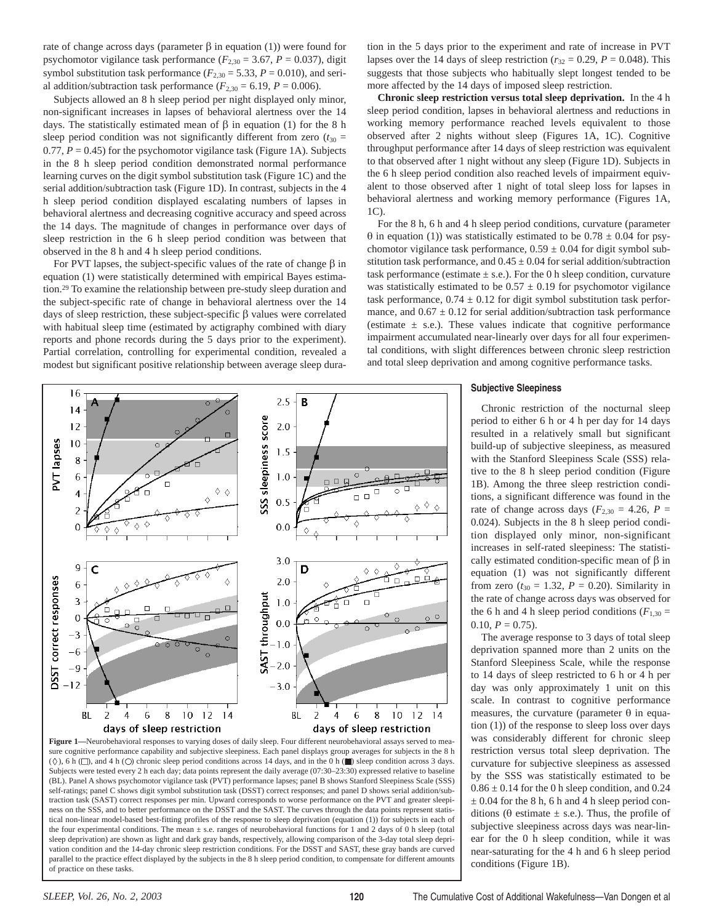rate of change across days (parameter β in equation (1)) were found for psychomotor vigilance task performance  $(F_{2,30} = 3.67, P = 0.037)$ , digit symbol substitution task performance  $(F_{2,30} = 5.33, P = 0.010)$ , and serial addition/subtraction task performance  $(F_{2,30} = 6.19, P = 0.006)$ .

Subjects allowed an 8 h sleep period per night displayed only minor, non-significant increases in lapses of behavioral alertness over the 14 days. The statistically estimated mean of  $β$  in equation (1) for the 8 h sleep period condition was not significantly different from zero  $(t_{30} =$ 0.77,  $P = 0.45$ ) for the psychomotor vigilance task (Figure 1A). Subjects in the 8 h sleep period condition demonstrated normal performance learning curves on the digit symbol substitution task (Figure 1C) and the serial addition/subtraction task (Figure 1D). In contrast, subjects in the 4 h sleep period condition displayed escalating numbers of lapses in behavioral alertness and decreasing cognitive accuracy and speed across the 14 days. The magnitude of changes in performance over days of sleep restriction in the 6 h sleep period condition was between that observed in the 8 h and 4 h sleep period conditions.

For PVT lapses, the subject-specific values of the rate of change β in equation (1) were statistically determined with empirical Bayes estimation.29 To examine the relationship between pre-study sleep duration and the subject-specific rate of change in behavioral alertness over the 14 days of sleep restriction, these subject-specific β values were correlated with habitual sleep time (estimated by actigraphy combined with diary reports and phone records during the 5 days prior to the experiment). Partial correlation, controlling for experimental condition, revealed a modest but significant positive relationship between average sleep duration in the 5 days prior to the experiment and rate of increase in PVT lapses over the 14 days of sleep restriction ( $r_{32} = 0.29$ ,  $P = 0.048$ ). This suggests that those subjects who habitually slept longest tended to be more affected by the 14 days of imposed sleep restriction.

**Chronic sleep restriction versus total sleep deprivation.** In the 4 h sleep period condition, lapses in behavioral alertness and reductions in working memory performance reached levels equivalent to those observed after 2 nights without sleep (Figures 1A, 1C). Cognitive throughput performance after 14 days of sleep restriction was equivalent to that observed after 1 night without any sleep (Figure 1D). Subjects in the 6 h sleep period condition also reached levels of impairment equivalent to those observed after 1 night of total sleep loss for lapses in behavioral alertness and working memory performance (Figures 1A, 1C).

For the 8 h, 6 h and 4 h sleep period conditions, curvature (parameter θ in equation (1)) was statistically estimated to be 0.78 ± 0.04 for psychomotor vigilance task performance,  $0.59 \pm 0.04$  for digit symbol substitution task performance, and  $0.45 \pm 0.04$  for serial addition/subtraction task performance (estimate  $\pm$  s.e.). For the 0 h sleep condition, curvature was statistically estimated to be  $0.57 \pm 0.19$  for psychomotor vigilance task performance,  $0.74 \pm 0.12$  for digit symbol substitution task performance, and  $0.67 \pm 0.12$  for serial addition/subtraction task performance (estimate  $\pm$  s.e.). These values indicate that cognitive performance impairment accumulated near-linearly over days for all four experimental conditions, with slight differences between chronic sleep restriction and total sleep deprivation and among cognitive performance tasks.

#### **Subjective Sleepiness**

Chronic restriction of the nocturnal sleep period to either 6 h or 4 h per day for 14 days resulted in a relatively small but significant build-up of subjective sleepiness, as measured with the Stanford Sleepiness Scale (SSS) relative to the 8 h sleep period condition (Figure 1B). Among the three sleep restriction conditions, a significant difference was found in the rate of change across days ( $F_{2,30} = 4.26$ ,  $P =$ 0.024). Subjects in the 8 h sleep period condition displayed only minor, non-significant increases in self-rated sleepiness: The statistically estimated condition-specific mean of  $β$  in equation (1) was not significantly different from zero ( $t_{30} = 1.32$ ,  $P = 0.20$ ). Similarity in the rate of change across days was observed for the 6 h and 4 h sleep period conditions ( $F_{1,30}$  =  $0.10, P = 0.75$ .

The average response to 3 days of total sleep deprivation spanned more than 2 units on the Stanford Sleepiness Scale, while the response to 14 days of sleep restricted to 6 h or 4 h per day was only approximately 1 unit on this scale. In contrast to cognitive performance measures, the curvature (parameter  $\theta$  in equation (1)) of the response to sleep loss over days was considerably different for chronic sleep restriction versus total sleep deprivation. The curvature for subjective sleepiness as assessed by the SSS was statistically estimated to be  $0.86 \pm 0.14$  for the 0 h sleep condition, and 0.24  $\pm$  0.04 for the 8 h, 6 h and 4 h sleep period conditions (θ estimate  $\pm$  s.e.). Thus, the profile of subjective sleepiness across days was near-linear for the 0 h sleep condition, while it was near-saturating for the 4 h and 6 h sleep period conditions (Figure 1B).



(BL). Panel A shows psychomotor vigilance task (PVT) performance lapses; panel B shows Stanford Sleepiness Scale (SSS) self-ratings; panel C shows digit symbol substitution task (DSST) correct responses; and panel D shows serial addition/subtraction task (SAST) correct responses per min. Upward corresponds to worse performance on the PVT and greater sleepiness on the SSS, and to better performance on the DSST and the SAST. The curves through the data points represent statistical non-linear model-based best-fitting profiles of the response to sleep deprivation (equation (1)) for subjects in each of the four experimental conditions. The mean  $\pm$  s.e. ranges of neurobehavioral functions for 1 and 2 days of 0 h sleep (total sleep deprivation) are shown as light and dark gray bands, respectively, allowing comparison of the 3-day total sleep deprivation condition and the 14-day chronic sleep restriction conditions. For the DSST and SAST, these gray bands are curved parallel to the practice effect displayed by the subjects in the 8 h sleep period condition, to compensate for different amounts of practice on these tasks.

16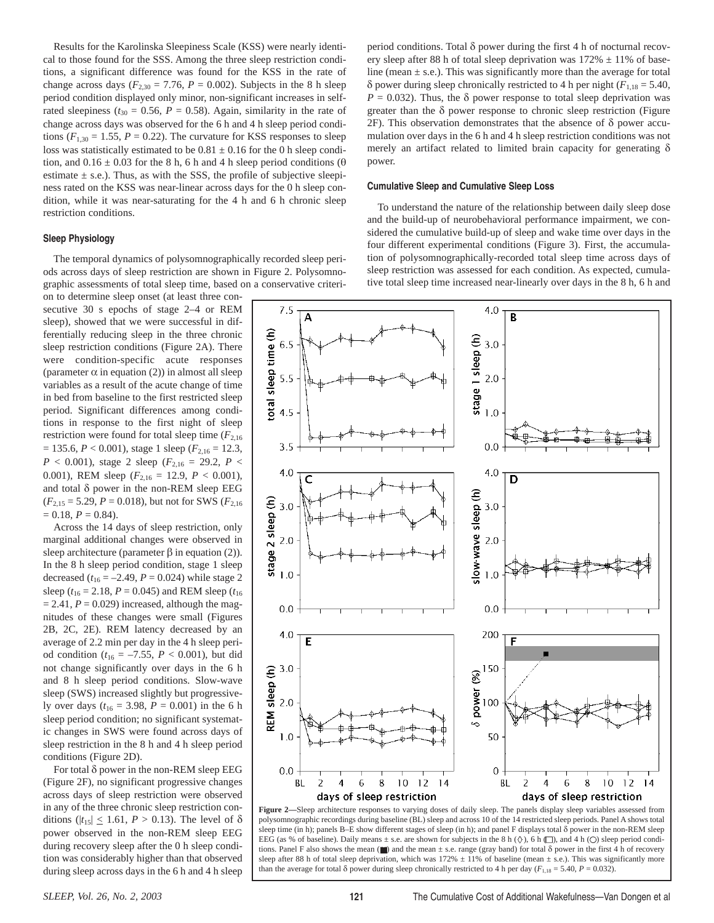Results for the Karolinska Sleepiness Scale (KSS) were nearly identical to those found for the SSS. Among the three sleep restriction conditions, a significant difference was found for the KSS in the rate of change across days ( $F_{2,30} = 7.76$ ,  $P = 0.002$ ). Subjects in the 8 h sleep period condition displayed only minor, non-significant increases in selfrated sleepiness ( $t_{30} = 0.56$ ,  $P = 0.58$ ). Again, similarity in the rate of change across days was observed for the 6 h and 4 h sleep period conditions ( $F_{1,30} = 1.55$ ,  $P = 0.22$ ). The curvature for KSS responses to sleep loss was statistically estimated to be  $0.81 \pm 0.16$  for the 0 h sleep condition, and  $0.16 \pm 0.03$  for the 8 h, 6 h and 4 h sleep period conditions ( $\theta$ ) estimate  $\pm$  s.e.). Thus, as with the SSS, the profile of subjective sleepiness rated on the KSS was near-linear across days for the 0 h sleep condition, while it was near-saturating for the 4 h and 6 h chronic sleep restriction conditions.

## **Sleep Physiology**

The temporal dynamics of polysomnographically recorded sleep periods across days of sleep restriction are shown in Figure 2. Polysomnographic assessments of total sleep time, based on a conservative criteri-

on to determine sleep onset (at least three consecutive 30 s epochs of stage 2–4 or REM sleep), showed that we were successful in differentially reducing sleep in the three chronic sleep restriction conditions (Figure 2A). There were condition-specific acute responses (parameter  $\alpha$  in equation (2)) in almost all sleep variables as a result of the acute change of time in bed from baseline to the first restricted sleep period. Significant differences among conditions in response to the first night of sleep restriction were found for total sleep time  $(F_{2,16})$  $= 135.6, P < 0.001$ ), stage 1 sleep ( $F_{2,16} = 12.3$ ,  $P$  < 0.001), stage 2 sleep ( $F_{2,16}$  = 29.2,  $P$  < 0.001), REM sleep (*F*2,16 = 12.9, *P* < 0.001), and total δ power in the non-REM sleep EEG  $(F_{2,15} = 5.29, P = 0.018)$ , but not for SWS  $(F_{2,16}$  $= 0.18, P = 0.84.$ 

Across the 14 days of sleep restriction, only marginal additional changes were observed in sleep architecture (parameter  $\beta$  in equation (2)). In the 8 h sleep period condition, stage 1 sleep decreased  $(t_{16} = -2.49, P = 0.024)$  while stage 2 sleep ( $t_{16}$  = 2.18, *P* = 0.045) and REM sleep ( $t_{16}$  $= 2.41, P = 0.029$  increased, although the magnitudes of these changes were small (Figures 2B, 2C, 2E). REM latency decreased by an average of 2.2 min per day in the 4 h sleep period condition ( $t_{16} = -7.55$ ,  $P < 0.001$ ), but did not change significantly over days in the 6 h and 8 h sleep period conditions. Slow-wave sleep (SWS) increased slightly but progressively over days ( $t_{16} = 3.98$ ,  $P = 0.001$ ) in the 6 h sleep period condition; no significant systematic changes in SWS were found across days of sleep restriction in the 8 h and 4 h sleep period conditions (Figure 2D).

For total δ power in the non-REM sleep EEG (Figure 2F), no significant progressive changes across days of sleep restriction were observed in any of the three chronic sleep restriction conditions ( $|t_{15}| \leq 1.61$ ,  $P > 0.13$ ). The level of  $\delta$ power observed in the non-REM sleep EEG during recovery sleep after the 0 h sleep condition was considerably higher than that observed during sleep across days in the 6 h and 4 h sleep

period conditions. Total δ power during the first 4 h of nocturnal recovery sleep after 88 h of total sleep deprivation was  $172\% \pm 11\%$  of baseline (mean  $\pm$  s.e.). This was significantly more than the average for total δ power during sleep chronically restricted to 4 h per night ( $F_{1,18} = 5.40$ ,  $P = 0.032$ ). Thus, the  $\delta$  power response to total sleep deprivation was greater than the  $\delta$  power response to chronic sleep restriction (Figure  $2F$ ). This observation demonstrates that the absence of  $\delta$  power accumulation over days in the 6 h and 4 h sleep restriction conditions was not merely an artifact related to limited brain capacity for generating δ power.

## **Cumulative Sleep and Cumulative Sleep Loss**

To understand the nature of the relationship between daily sleep dose and the build-up of neurobehavioral performance impairment, we considered the cumulative build-up of sleep and wake time over days in the four different experimental conditions (Figure 3). First, the accumulation of polysomnographically-recorded total sleep time across days of sleep restriction was assessed for each condition. As expected, cumulative total sleep time increased near-linearly over days in the 8 h, 6 h and



Figure 2-Sleep architecture responses to varying doses of daily sleep. The panels display sleep variables assessed from polysomnographic recordings during baseline (BL) sleep and across 10 of the 14 restricted sleep periods. Panel A shows total sleep time (in h); panels B–E show different stages of sleep (in h); and panel F displays total δ power in the non-REM sleep EEG (as % of baseline). Daily means  $\pm$  s.e. are shown for subjects in the 8 h ( $\diamond$ ), 6 h  $\Box$ ), and 4 h ( $\bigcirc$ ) sleep period conditions. Panel F also shows the mean ( $\blacksquare$ ) and the mean  $\pm$  s.e. range (gray band) for total  $\delta$  power in the first 4 h of recovery sleep after 88 h of total sleep deprivation, which was 172%  $\pm$  11% of baseline (mean  $\pm$  s.e.). This was significantly more than the average for total  $\delta$  power during sleep chronically restricted to 4 h per day ( $F_{1,18} = 5.40$ ,  $P = 0.032$ ).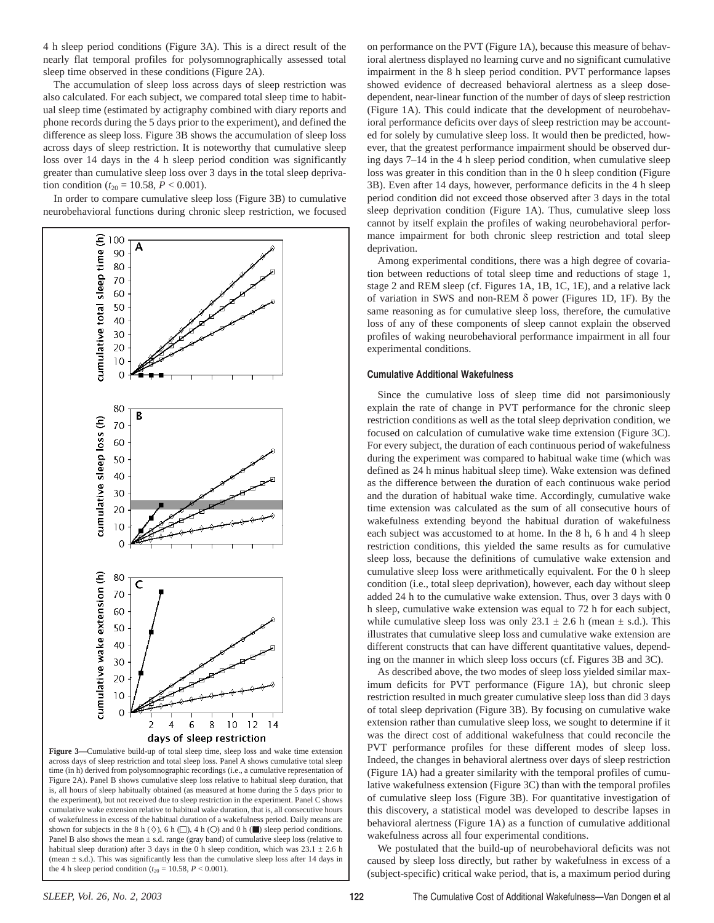4 h sleep period conditions (Figure 3A). This is a direct result of the nearly flat temporal profiles for polysomnographically assessed total sleep time observed in these conditions (Figure 2A).

The accumulation of sleep loss across days of sleep restriction was also calculated. For each subject, we compared total sleep time to habitual sleep time (estimated by actigraphy combined with diary reports and phone records during the 5 days prior to the experiment), and defined the difference as sleep loss. Figure 3B shows the accumulation of sleep loss across days of sleep restriction. It is noteworthy that cumulative sleep loss over 14 days in the 4 h sleep period condition was significantly greater than cumulative sleep loss over 3 days in the total sleep deprivation condition ( $t_{20} = 10.58$ ,  $P < 0.001$ ).

In order to compare cumulative sleep loss (Figure 3B) to cumulative neurobehavioral functions during chronic sleep restriction, we focused



**Figure 3—**Cumulative build-up of total sleep time, sleep loss and wake time extension across days of sleep restriction and total sleep loss. Panel A shows cumulative total sleep time (in h) derived from polysomnographic recordings (i.e., a cumulative representation of Figure 2A). Panel B shows cumulative sleep loss relative to habitual sleep duration, that is, all hours of sleep habitually obtained (as measured at home during the 5 days prior to the experiment), but not received due to sleep restriction in the experiment. Panel C shows cumulative wake extension relative to habitual wake duration, that is, all consecutive hours of wakefulness in excess of the habitual duration of a wakefulness period. Daily means are shown for subjects in the 8 h ( $\Diamond$ ), 6 h  $\Box$ ), 4 h ( $\Diamond$ ) and 0 h ( $\Box$ ) sleep period conditions. Panel B also shows the mean  $\pm$  s.d. range (gray band) of cumulative sleep loss (relative to habitual sleep duration) after 3 days in the 0 h sleep condition, which was  $23.1 \pm 2.6$  h (mean  $\pm$  s.d.). This was significantly less than the cumulative sleep loss after 14 days in the 4 h sleep period condition ( $t_{20} = 10.58$ ,  $P < 0.001$ ).

on performance on the PVT (Figure 1A), because this measure of behavioral alertness displayed no learning curve and no significant cumulative impairment in the 8 h sleep period condition. PVT performance lapses showed evidence of decreased behavioral alertness as a sleep dosedependent, near-linear function of the number of days of sleep restriction (Figure 1A). This could indicate that the development of neurobehavioral performance deficits over days of sleep restriction may be accounted for solely by cumulative sleep loss. It would then be predicted, however, that the greatest performance impairment should be observed during days 7–14 in the 4 h sleep period condition, when cumulative sleep loss was greater in this condition than in the 0 h sleep condition (Figure 3B). Even after 14 days, however, performance deficits in the 4 h sleep period condition did not exceed those observed after 3 days in the total sleep deprivation condition (Figure 1A). Thus, cumulative sleep loss cannot by itself explain the profiles of waking neurobehavioral performance impairment for both chronic sleep restriction and total sleep deprivation.

Among experimental conditions, there was a high degree of covariation between reductions of total sleep time and reductions of stage 1, stage 2 and REM sleep (cf. Figures 1A, 1B, 1C, 1E), and a relative lack of variation in SWS and non-REM δ power (Figures 1D, 1F). By the same reasoning as for cumulative sleep loss, therefore, the cumulative loss of any of these components of sleep cannot explain the observed profiles of waking neurobehavioral performance impairment in all four experimental conditions.

#### **Cumulative Additional Wakefulness**

Since the cumulative loss of sleep time did not parsimoniously explain the rate of change in PVT performance for the chronic sleep restriction conditions as well as the total sleep deprivation condition, we focused on calculation of cumulative wake time extension (Figure 3C). For every subject, the duration of each continuous period of wakefulness during the experiment was compared to habitual wake time (which was defined as 24 h minus habitual sleep time). Wake extension was defined as the difference between the duration of each continuous wake period and the duration of habitual wake time. Accordingly, cumulative wake time extension was calculated as the sum of all consecutive hours of wakefulness extending beyond the habitual duration of wakefulness each subject was accustomed to at home. In the 8 h, 6 h and 4 h sleep restriction conditions, this yielded the same results as for cumulative sleep loss, because the definitions of cumulative wake extension and cumulative sleep loss were arithmetically equivalent. For the 0 h sleep condition (i.e., total sleep deprivation), however, each day without sleep added 24 h to the cumulative wake extension. Thus, over 3 days with 0 h sleep, cumulative wake extension was equal to 72 h for each subject, while cumulative sleep loss was only  $23.1 \pm 2.6$  h (mean  $\pm$  s.d.). This illustrates that cumulative sleep loss and cumulative wake extension are different constructs that can have different quantitative values, depending on the manner in which sleep loss occurs (cf. Figures 3B and 3C).

As described above, the two modes of sleep loss yielded similar maximum deficits for PVT performance (Figure 1A), but chronic sleep restriction resulted in much greater cumulative sleep loss than did 3 days of total sleep deprivation (Figure 3B). By focusing on cumulative wake extension rather than cumulative sleep loss, we sought to determine if it was the direct cost of additional wakefulness that could reconcile the PVT performance profiles for these different modes of sleep loss. Indeed, the changes in behavioral alertness over days of sleep restriction (Figure 1A) had a greater similarity with the temporal profiles of cumulative wakefulness extension (Figure 3C) than with the temporal profiles of cumulative sleep loss (Figure 3B). For quantitative investigation of this discovery, a statistical model was developed to describe lapses in behavioral alertness (Figure 1A) as a function of cumulative additional wakefulness across all four experimental conditions.

We postulated that the build-up of neurobehavioral deficits was not caused by sleep loss directly, but rather by wakefulness in excess of a (subject-specific) critical wake period, that is, a maximum period during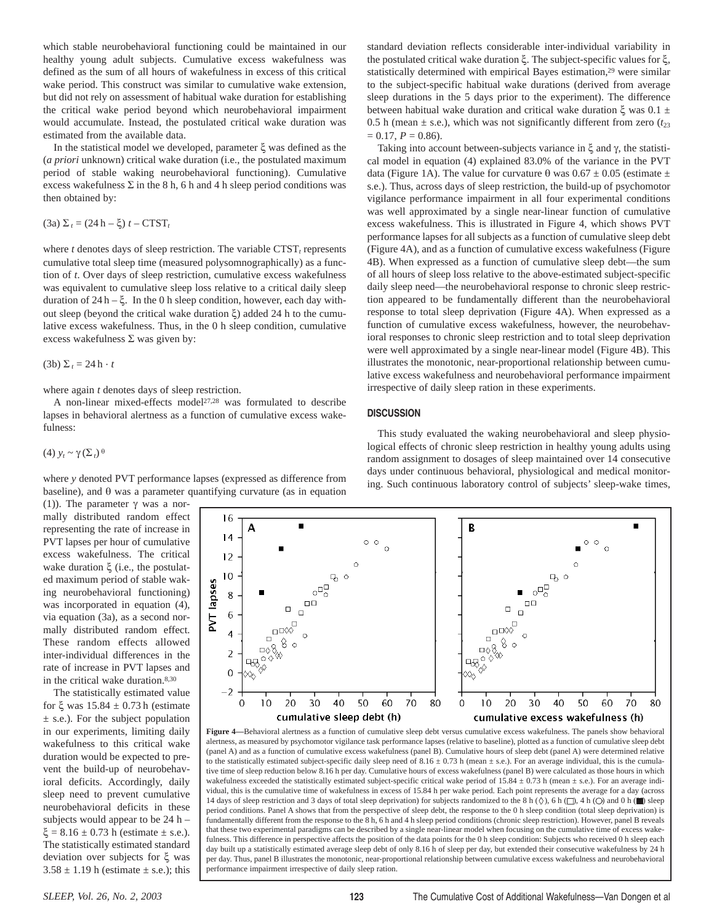which stable neurobehavioral functioning could be maintained in our healthy young adult subjects. Cumulative excess wakefulness was defined as the sum of all hours of wakefulness in excess of this critical wake period. This construct was similar to cumulative wake extension, but did not rely on assessment of habitual wake duration for establishing the critical wake period beyond which neurobehavioral impairment would accumulate. Instead, the postulated critical wake duration was estimated from the available data.

In the statistical model we developed, parameter ξ was defined as the (*a priori* unknown) critical wake duration (i.e., the postulated maximum period of stable waking neurobehavioral functioning). Cumulative excess wakefulness  $\Sigma$  in the 8 h, 6 h and 4 h sleep period conditions was then obtained by:

(3a) Σ *<sup>t</sup>* = (24 h – ξ) *t* – CTST*<sup>t</sup>*

where  $t$  denotes days of sleep restriction. The variable  $CTST<sub>t</sub>$  represents cumulative total sleep time (measured polysomnographically) as a function of *t*. Over days of sleep restriction, cumulative excess wakefulness was equivalent to cumulative sleep loss relative to a critical daily sleep duration of  $24 h - \xi$ . In the 0 h sleep condition, however, each day without sleep (beyond the critical wake duration ξ) added 24 h to the cumulative excess wakefulness. Thus, in the 0 h sleep condition, cumulative excess wakefulness  $\Sigma$  was given by:

(3b)  $\Sigma_t = 24 \text{ h} \cdot t$ 

where again *t* denotes days of sleep restriction.

A non-linear mixed-effects model27,28 was formulated to describe lapses in behavioral alertness as a function of cumulative excess wakefulness:

(4) *yt* ~ γ (Σ *<sup>t</sup>*) <sup>θ</sup>

where *y* denoted PVT performance lapses (expressed as difference from baseline), and  $\theta$  was a parameter quantifying curvature (as in equation

16

 $14$ 

 $12$ 

 $10$ 

8

 $\sqrt{6}$ 

 $\overline{4}$ 

 $\overline{c}$ 

 $\mathbf 0$ -2

PVT lapses

(1)). The parameter  $γ$  was a normally distributed random effect representing the rate of increase in PVT lapses per hour of cumulative excess wakefulness. The critical wake duration ξ (i.e., the postulated maximum period of stable waking neurobehavioral functioning) was incorporated in equation (4), via equation (3a), as a second normally distributed random effect. These random effects allowed inter-individual differences in the rate of increase in PVT lapses and in the critical wake duration.8,30

The statistically estimated value for ξ was 15.84 ± 0.73 h (estimate  $\pm$  s.e.). For the subject population in our experiments, limiting daily wakefulness to this critical wake duration would be expected to prevent the build-up of neurobehavioral deficits. Accordingly, daily sleep need to prevent cumulative neurobehavioral deficits in these subjects would appear to be 24 h –  $\xi = 8.16 \pm 0.73$  h (estimate  $\pm$  s.e.). The statistically estimated standard deviation over subjects for ξ was  $3.58 \pm 1.19$  h (estimate  $\pm$  s.e.); this

standard deviation reflects considerable inter-individual variability in the postulated critical wake duration ξ. The subject-specific values for ξ, statistically determined with empirical Bayes estimation,<sup>29</sup> were similar to the subject-specific habitual wake durations (derived from average sleep durations in the 5 days prior to the experiment). The difference between habitual wake duration and critical wake duration  $ξ$  was  $0.1 ±$ 0.5 h (mean  $\pm$  s.e.), which was not significantly different from zero ( $t_{23}$ )  $= 0.17, P = 0.86$ .

Taking into account between-subjects variance in ξ and γ, the statistical model in equation (4) explained 83.0% of the variance in the PVT data (Figure 1A). The value for curvature θ was  $0.67 \pm 0.05$  (estimate  $\pm$ s.e.). Thus, across days of sleep restriction, the build-up of psychomotor vigilance performance impairment in all four experimental conditions was well approximated by a single near-linear function of cumulative excess wakefulness. This is illustrated in Figure 4, which shows PVT performance lapses for all subjects as a function of cumulative sleep debt (Figure 4A), and as a function of cumulative excess wakefulness (Figure 4B). When expressed as a function of cumulative sleep debt—the sum of all hours of sleep loss relative to the above-estimated subject-specific daily sleep need—the neurobehavioral response to chronic sleep restriction appeared to be fundamentally different than the neurobehavioral response to total sleep deprivation (Figure 4A). When expressed as a function of cumulative excess wakefulness, however, the neurobehavioral responses to chronic sleep restriction and to total sleep deprivation were well approximated by a single near-linear model (Figure 4B). This illustrates the monotonic, near-proportional relationship between cumulative excess wakefulness and neurobehavioral performance impairment irrespective of daily sleep ration in these experiments.

### **DISCUSSION**

This study evaluated the waking neurobehavioral and sleep physiological effects of chronic sleep restriction in healthy young adults using random assignment to dosages of sleep maintained over 14 consecutive days under continuous behavioral, physiological and medical monitoring. Such continuous laboratory control of subjects' sleep-wake times,

 $\blacksquare$ -Δ B  $\circ$   $\circ$  $\circ$  $\circ$  $\circ$  $\circ$ Ō  $\mathbb{R}$  $\mathcal{L}$ Ъ  $\circ\mathbb{P}^{\square}_{\circ}$  $\circ^{\Box}$  $\Box$ Box  $\Box$  $\Box$  $\Box$  $\Box$ ⊡¤⊗ □□☆  $\epsilon$ Ċ  $\Box$  $\Box$ ु<br>ू⊗ू⊓  $\Diamond$  $\,$  $\overline{\mathbb{Q}}\times$  $\circ$  $\circ$  $\circ$ **98** 



fundamentally different from the response to the 8 h, 6 h and 4 h sleep period conditions (chronic sleep restriction). However, panel B reveals that these two experimental paradigms can be described by a single near-linear model when focusing on the cumulative time of excess wakefulness. This difference in perspective affects the position of the data points for the 0 h sleep condition: Subjects who received 0 h sleep each day built up a statistically estimated average sleep debt of only 8.16 h of sleep per day, but extended their consecutive wakefulness by 24 h per day. Thus, panel B illustrates the monotonic, near-proportional relationship between cumulative excess wakefulness and neurobehavioral performance impairment irrespective of daily sleep ration.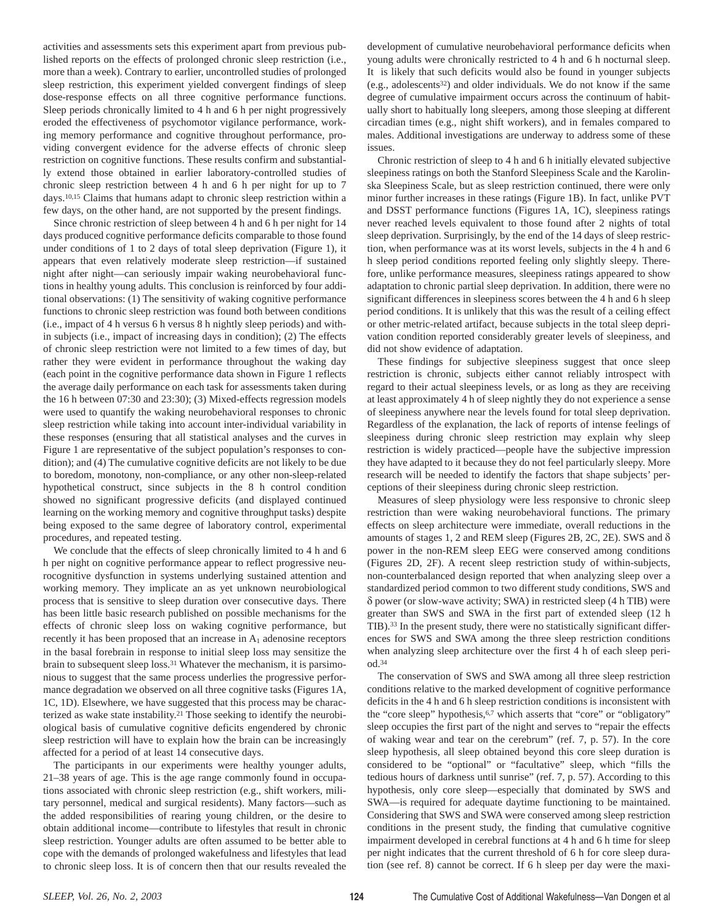activities and assessments sets this experiment apart from previous published reports on the effects of prolonged chronic sleep restriction (i.e., more than a week). Contrary to earlier, uncontrolled studies of prolonged sleep restriction, this experiment yielded convergent findings of sleep dose-response effects on all three cognitive performance functions. Sleep periods chronically limited to 4 h and 6 h per night progressively eroded the effectiveness of psychomotor vigilance performance, working memory performance and cognitive throughout performance, providing convergent evidence for the adverse effects of chronic sleep restriction on cognitive functions. These results confirm and substantially extend those obtained in earlier laboratory-controlled studies of chronic sleep restriction between 4 h and 6 h per night for up to 7 days.10,15 Claims that humans adapt to chronic sleep restriction within a few days, on the other hand, are not supported by the present findings.

Since chronic restriction of sleep between 4 h and 6 h per night for 14 days produced cognitive performance deficits comparable to those found under conditions of 1 to 2 days of total sleep deprivation (Figure 1), it appears that even relatively moderate sleep restriction—if sustained night after night—can seriously impair waking neurobehavioral functions in healthy young adults. This conclusion is reinforced by four additional observations: (1) The sensitivity of waking cognitive performance functions to chronic sleep restriction was found both between conditions (i.e., impact of 4 h versus 6 h versus 8 h nightly sleep periods) and within subjects (i.e., impact of increasing days in condition); (2) The effects of chronic sleep restriction were not limited to a few times of day, but rather they were evident in performance throughout the waking day (each point in the cognitive performance data shown in Figure 1 reflects the average daily performance on each task for assessments taken during the 16 h between 07:30 and 23:30); (3) Mixed-effects regression models were used to quantify the waking neurobehavioral responses to chronic sleep restriction while taking into account inter-individual variability in these responses (ensuring that all statistical analyses and the curves in Figure 1 are representative of the subject population's responses to condition); and (4) The cumulative cognitive deficits are not likely to be due to boredom, monotony, non-compliance, or any other non-sleep-related hypothetical construct, since subjects in the 8 h control condition showed no significant progressive deficits (and displayed continued learning on the working memory and cognitive throughput tasks) despite being exposed to the same degree of laboratory control, experimental procedures, and repeated testing.

We conclude that the effects of sleep chronically limited to 4 h and 6 h per night on cognitive performance appear to reflect progressive neurocognitive dysfunction in systems underlying sustained attention and working memory. They implicate an as yet unknown neurobiological process that is sensitive to sleep duration over consecutive days. There has been little basic research published on possible mechanisms for the effects of chronic sleep loss on waking cognitive performance, but recently it has been proposed that an increase in  $A_1$  adenosine receptors in the basal forebrain in response to initial sleep loss may sensitize the brain to subsequent sleep loss.31 Whatever the mechanism, it is parsimonious to suggest that the same process underlies the progressive performance degradation we observed on all three cognitive tasks (Figures 1A, 1C, 1D). Elsewhere, we have suggested that this process may be characterized as wake state instability.21 Those seeking to identify the neurobiological basis of cumulative cognitive deficits engendered by chronic sleep restriction will have to explain how the brain can be increasingly affected for a period of at least 14 consecutive days.

The participants in our experiments were healthy younger adults, 21–38 years of age. This is the age range commonly found in occupations associated with chronic sleep restriction (e.g., shift workers, military personnel, medical and surgical residents). Many factors—such as the added responsibilities of rearing young children, or the desire to obtain additional income—contribute to lifestyles that result in chronic sleep restriction. Younger adults are often assumed to be better able to cope with the demands of prolonged wakefulness and lifestyles that lead to chronic sleep loss. It is of concern then that our results revealed the

development of cumulative neurobehavioral performance deficits when young adults were chronically restricted to 4 h and 6 h nocturnal sleep. It is likely that such deficits would also be found in younger subjects  $(e.g., \text{adolescents}^{32})$  and older individuals. We do not know if the same degree of cumulative impairment occurs across the continuum of habitually short to habitually long sleepers, among those sleeping at different circadian times (e.g., night shift workers), and in females compared to males. Additional investigations are underway to address some of these issues.

Chronic restriction of sleep to 4 h and 6 h initially elevated subjective sleepiness ratings on both the Stanford Sleepiness Scale and the Karolinska Sleepiness Scale, but as sleep restriction continued, there were only minor further increases in these ratings (Figure 1B). In fact, unlike PVT and DSST performance functions (Figures 1A, 1C), sleepiness ratings never reached levels equivalent to those found after 2 nights of total sleep deprivation. Surprisingly, by the end of the 14 days of sleep restriction, when performance was at its worst levels, subjects in the 4 h and 6 h sleep period conditions reported feeling only slightly sleepy. Therefore, unlike performance measures, sleepiness ratings appeared to show adaptation to chronic partial sleep deprivation. In addition, there were no significant differences in sleepiness scores between the 4 h and 6 h sleep period conditions. It is unlikely that this was the result of a ceiling effect or other metric-related artifact, because subjects in the total sleep deprivation condition reported considerably greater levels of sleepiness, and did not show evidence of adaptation.

These findings for subjective sleepiness suggest that once sleep restriction is chronic, subjects either cannot reliably introspect with regard to their actual sleepiness levels, or as long as they are receiving at least approximately 4 h of sleep nightly they do not experience a sense of sleepiness anywhere near the levels found for total sleep deprivation. Regardless of the explanation, the lack of reports of intense feelings of sleepiness during chronic sleep restriction may explain why sleep restriction is widely practiced—people have the subjective impression they have adapted to it because they do not feel particularly sleepy. More research will be needed to identify the factors that shape subjects' perceptions of their sleepiness during chronic sleep restriction.

Measures of sleep physiology were less responsive to chronic sleep restriction than were waking neurobehavioral functions. The primary effects on sleep architecture were immediate, overall reductions in the amounts of stages 1, 2 and REM sleep (Figures 2B, 2C, 2E). SWS and  $\delta$ power in the non-REM sleep EEG were conserved among conditions (Figures 2D, 2F). A recent sleep restriction study of within-subjects, non-counterbalanced design reported that when analyzing sleep over a standardized period common to two different study conditions, SWS and δ power (or slow-wave activity; SWA) in restricted sleep (4 h TIB) were greater than SWS and SWA in the first part of extended sleep (12 h TIB).33 In the present study, there were no statistically significant differences for SWS and SWA among the three sleep restriction conditions when analyzing sleep architecture over the first 4 h of each sleep period.34

The conservation of SWS and SWA among all three sleep restriction conditions relative to the marked development of cognitive performance deficits in the 4 h and 6 h sleep restriction conditions is inconsistent with the "core sleep" hypothesis,<sup>6,7</sup> which asserts that "core" or "obligatory" sleep occupies the first part of the night and serves to "repair the effects of waking wear and tear on the cerebrum" (ref. 7, p. 57). In the core sleep hypothesis, all sleep obtained beyond this core sleep duration is considered to be "optional" or "facultative" sleep, which "fills the tedious hours of darkness until sunrise" (ref. 7, p. 57). According to this hypothesis, only core sleep—especially that dominated by SWS and SWA—is required for adequate daytime functioning to be maintained. Considering that SWS and SWA were conserved among sleep restriction conditions in the present study, the finding that cumulative cognitive impairment developed in cerebral functions at 4 h and 6 h time for sleep per night indicates that the current threshold of 6 h for core sleep duration (see ref. 8) cannot be correct. If 6 h sleep per day were the maxi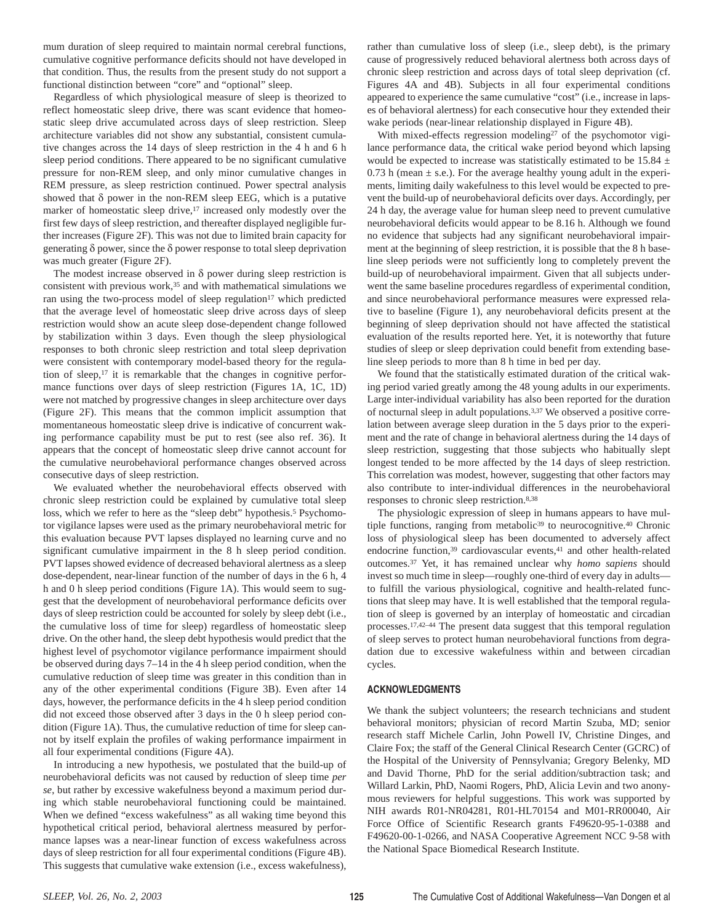mum duration of sleep required to maintain normal cerebral functions, cumulative cognitive performance deficits should not have developed in that condition. Thus, the results from the present study do not support a functional distinction between "core" and "optional" sleep.

Regardless of which physiological measure of sleep is theorized to reflect homeostatic sleep drive, there was scant evidence that homeostatic sleep drive accumulated across days of sleep restriction. Sleep architecture variables did not show any substantial, consistent cumulative changes across the 14 days of sleep restriction in the 4 h and 6 h sleep period conditions. There appeared to be no significant cumulative pressure for non-REM sleep, and only minor cumulative changes in REM pressure, as sleep restriction continued. Power spectral analysis showed that δ power in the non-REM sleep EEG, which is a putative marker of homeostatic sleep drive,<sup>17</sup> increased only modestly over the first few days of sleep restriction, and thereafter displayed negligible further increases (Figure 2F). This was not due to limited brain capacity for generating δ power, since the δ power response to total sleep deprivation was much greater (Figure 2F).

The modest increase observed in  $\delta$  power during sleep restriction is consistent with previous work,35 and with mathematical simulations we ran using the two-process model of sleep regulation<sup>17</sup> which predicted that the average level of homeostatic sleep drive across days of sleep restriction would show an acute sleep dose-dependent change followed by stabilization within 3 days. Even though the sleep physiological responses to both chronic sleep restriction and total sleep deprivation were consistent with contemporary model-based theory for the regulation of sleep,17 it is remarkable that the changes in cognitive performance functions over days of sleep restriction (Figures 1A, 1C, 1D) were not matched by progressive changes in sleep architecture over days (Figure 2F). This means that the common implicit assumption that momentaneous homeostatic sleep drive is indicative of concurrent waking performance capability must be put to rest (see also ref. 36). It appears that the concept of homeostatic sleep drive cannot account for the cumulative neurobehavioral performance changes observed across consecutive days of sleep restriction.

We evaluated whether the neurobehavioral effects observed with chronic sleep restriction could be explained by cumulative total sleep loss, which we refer to here as the "sleep debt" hypothesis.<sup>5</sup> Psychomotor vigilance lapses were used as the primary neurobehavioral metric for this evaluation because PVT lapses displayed no learning curve and no significant cumulative impairment in the 8 h sleep period condition. PVT lapses showed evidence of decreased behavioral alertness as a sleep dose-dependent, near-linear function of the number of days in the 6 h, 4 h and 0 h sleep period conditions (Figure 1A). This would seem to suggest that the development of neurobehavioral performance deficits over days of sleep restriction could be accounted for solely by sleep debt (i.e., the cumulative loss of time for sleep) regardless of homeostatic sleep drive. On the other hand, the sleep debt hypothesis would predict that the highest level of psychomotor vigilance performance impairment should be observed during days 7–14 in the 4 h sleep period condition, when the cumulative reduction of sleep time was greater in this condition than in any of the other experimental conditions (Figure 3B). Even after 14 days, however, the performance deficits in the 4 h sleep period condition did not exceed those observed after 3 days in the 0 h sleep period condition (Figure 1A). Thus, the cumulative reduction of time for sleep cannot by itself explain the profiles of waking performance impairment in all four experimental conditions (Figure 4A).

In introducing a new hypothesis, we postulated that the build-up of neurobehavioral deficits was not caused by reduction of sleep time *per se*, but rather by excessive wakefulness beyond a maximum period during which stable neurobehavioral functioning could be maintained. When we defined "excess wakefulness" as all waking time beyond this hypothetical critical period, behavioral alertness measured by performance lapses was a near-linear function of excess wakefulness across days of sleep restriction for all four experimental conditions (Figure 4B). This suggests that cumulative wake extension (i.e., excess wakefulness),

rather than cumulative loss of sleep (i.e., sleep debt), is the primary cause of progressively reduced behavioral alertness both across days of chronic sleep restriction and across days of total sleep deprivation (cf. Figures 4A and 4B). Subjects in all four experimental conditions appeared to experience the same cumulative "cost" (i.e., increase in lapses of behavioral alertness) for each consecutive hour they extended their wake periods (near-linear relationship displayed in Figure 4B).

With mixed-effects regression modeling<sup>27</sup> of the psychomotor vigilance performance data, the critical wake period beyond which lapsing would be expected to increase was statistically estimated to be 15.84  $\pm$ 0.73 h (mean  $\pm$  s.e.). For the average healthy young adult in the experiments, limiting daily wakefulness to this level would be expected to prevent the build-up of neurobehavioral deficits over days. Accordingly, per 24 h day, the average value for human sleep need to prevent cumulative neurobehavioral deficits would appear to be 8.16 h. Although we found no evidence that subjects had any significant neurobehavioral impairment at the beginning of sleep restriction, it is possible that the 8 h baseline sleep periods were not sufficiently long to completely prevent the build-up of neurobehavioral impairment. Given that all subjects underwent the same baseline procedures regardless of experimental condition, and since neurobehavioral performance measures were expressed relative to baseline (Figure 1), any neurobehavioral deficits present at the beginning of sleep deprivation should not have affected the statistical evaluation of the results reported here. Yet, it is noteworthy that future studies of sleep or sleep deprivation could benefit from extending baseline sleep periods to more than 8 h time in bed per day.

We found that the statistically estimated duration of the critical waking period varied greatly among the 48 young adults in our experiments. Large inter-individual variability has also been reported for the duration of nocturnal sleep in adult populations.3,37 We observed a positive correlation between average sleep duration in the 5 days prior to the experiment and the rate of change in behavioral alertness during the 14 days of sleep restriction, suggesting that those subjects who habitually slept longest tended to be more affected by the 14 days of sleep restriction. This correlation was modest, however, suggesting that other factors may also contribute to inter-individual differences in the neurobehavioral responses to chronic sleep restriction.8,38

The physiologic expression of sleep in humans appears to have multiple functions, ranging from metabolic<sup>39</sup> to neurocognitive.<sup>40</sup> Chronic loss of physiological sleep has been documented to adversely affect endocrine function,<sup>39</sup> cardiovascular events,<sup>41</sup> and other health-related outcomes.37 Yet, it has remained unclear why *homo sapiens* should invest so much time in sleep—roughly one-third of every day in adults to fulfill the various physiological, cognitive and health-related functions that sleep may have. It is well established that the temporal regulation of sleep is governed by an interplay of homeostatic and circadian processes.17,42–44 The present data suggest that this temporal regulation of sleep serves to protect human neurobehavioral functions from degradation due to excessive wakefulness within and between circadian cycles.

## **ACKNOWLEDGMENTS**

We thank the subject volunteers; the research technicians and student behavioral monitors; physician of record Martin Szuba, MD; senior research staff Michele Carlin, John Powell IV, Christine Dinges, and Claire Fox; the staff of the General Clinical Research Center (GCRC) of the Hospital of the University of Pennsylvania; Gregory Belenky, MD and David Thorne, PhD for the serial addition/subtraction task; and Willard Larkin, PhD, Naomi Rogers, PhD, Alicia Levin and two anonymous reviewers for helpful suggestions. This work was supported by NIH awards R01-NR04281, R01-HL70154 and M01-RR00040, Air Force Office of Scientific Research grants F49620-95-1-0388 and F49620-00-1-0266, and NASA Cooperative Agreement NCC 9-58 with the National Space Biomedical Research Institute.